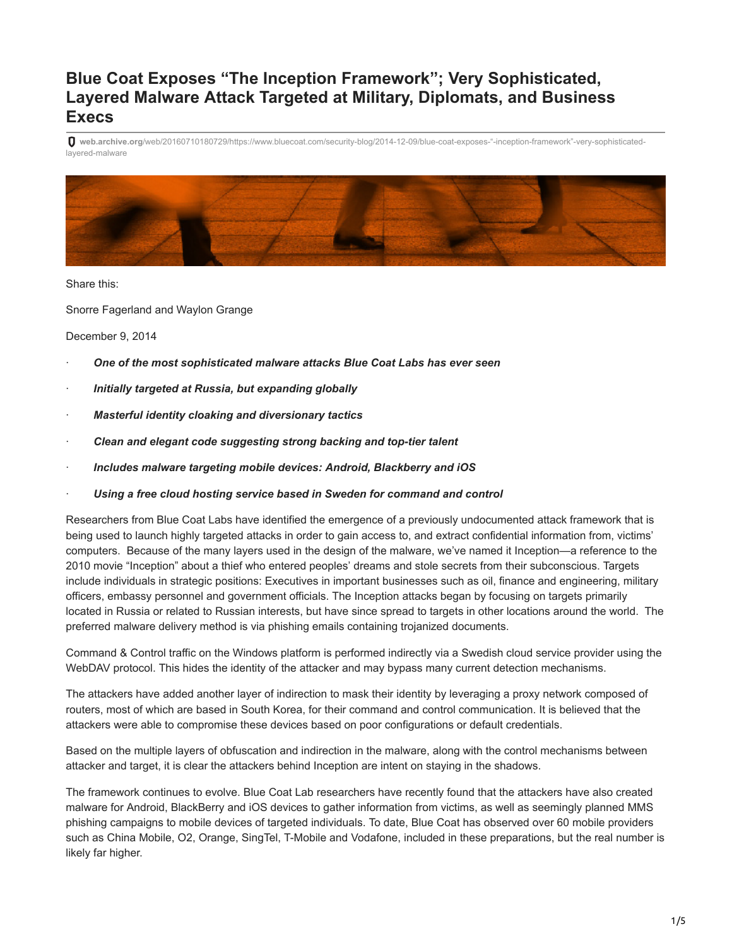# **Blue Coat Exposes "The Inception Framework"; Very Sophisticated, Layered Malware Attack Targeted at Military, Diplomats, and Business Execs**

**web.archive.org**[/web/20160710180729/https://www.bluecoat.com/security-blog/2014-12-09/blue-coat-exposes-"-inception-framework"-very-sophisticated](https://web.archive.org/web/20160710180729/https://www.bluecoat.com/security-blog/2014-12-09/blue-coat-exposes-%E2%80%9C-inception-framework%E2%80%9D-very-sophisticated-layered-malware)layered-malware



Share this:

Snorre Fagerland and Waylon Grange

December 9, 2014

- · *One of the most sophisticated malware attacks Blue Coat Labs has ever seen*
- · *Initially targeted at Russia, but expanding globally*
- · *Masterful identity cloaking and diversionary tactics*
- · *Clean and elegant code suggesting strong backing and top-tier talent*
- · *Includes malware targeting mobile devices: Android, Blackberry and iOS*
- · *Using a free cloud hosting service based in Sweden for command and control*

Researchers from Blue Coat Labs have identified the emergence of a previously undocumented attack framework that is being used to launch highly targeted attacks in order to gain access to, and extract confidential information from, victims' computers. Because of the many layers used in the design of the malware, we've named it Inception—a reference to the 2010 movie "Inception" about a thief who entered peoples' dreams and stole secrets from their subconscious. Targets include individuals in strategic positions: Executives in important businesses such as oil, finance and engineering, military officers, embassy personnel and government officials. The Inception attacks began by focusing on targets primarily located in Russia or related to Russian interests, but have since spread to targets in other locations around the world. The preferred malware delivery method is via phishing emails containing trojanized documents.

Command & Control traffic on the Windows platform is performed indirectly via a Swedish cloud service provider using the WebDAV protocol. This hides the identity of the attacker and may bypass many current detection mechanisms.

The attackers have added another layer of indirection to mask their identity by leveraging a proxy network composed of routers, most of which are based in South Korea, for their command and control communication. It is believed that the attackers were able to compromise these devices based on poor configurations or default credentials.

Based on the multiple layers of obfuscation and indirection in the malware, along with the control mechanisms between attacker and target, it is clear the attackers behind Inception are intent on staying in the shadows.

The framework continues to evolve. Blue Coat Lab researchers have recently found that the attackers have also created malware for Android, BlackBerry and iOS devices to gather information from victims, as well as seemingly planned MMS phishing campaigns to mobile devices of targeted individuals. To date, Blue Coat has observed over 60 mobile providers such as China Mobile, O2, Orange, SingTel, T-Mobile and Vodafone, included in these preparations, but the real number is likely far higher.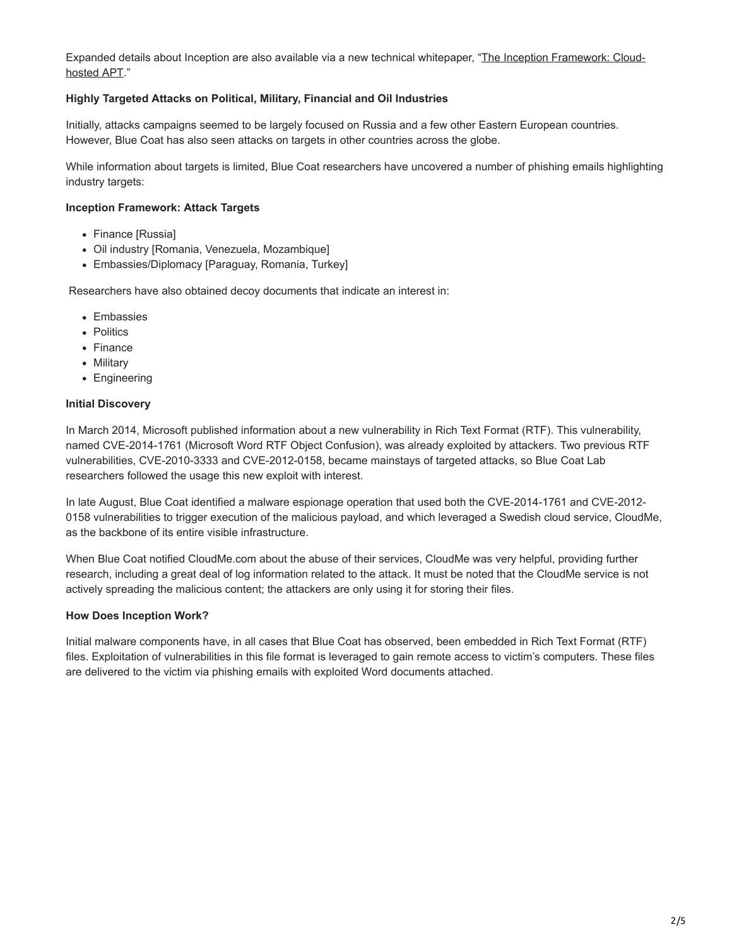[Expanded details about Inception are also available via a new technical whitepaper, "The Inception Framework: Cloud](https://web.archive.org/web/20160710180729/http://dc.bluecoat.com/Inception_Framework)hosted APT."

### **Highly Targeted Attacks on Political, Military, Financial and Oil Industries**

Initially, attacks campaigns seemed to be largely focused on Russia and a few other Eastern European countries. However, Blue Coat has also seen attacks on targets in other countries across the globe.

While information about targets is limited, Blue Coat researchers have uncovered a number of phishing emails highlighting industry targets:

#### **Inception Framework: Attack Targets**

- Finance [Russia]
- Oil industry [Romania, Venezuela, Mozambique]
- Embassies/Diplomacy [Paraguay, Romania, Turkey]

Researchers have also obtained decoy documents that indicate an interest in:

- Embassies
- Politics
- Finance
- Military
- Engineering

#### **Initial Discovery**

In March 2014, Microsoft published information about a new vulnerability in Rich Text Format (RTF). This vulnerability, named CVE-2014-1761 (Microsoft Word RTF Object Confusion), was already exploited by attackers. Two previous RTF vulnerabilities, CVE-2010-3333 and CVE-2012-0158, became mainstays of targeted attacks, so Blue Coat Lab researchers followed the usage this new exploit with interest.

In late August, Blue Coat identified a malware espionage operation that used both the CVE-2014-1761 and CVE-2012- 0158 vulnerabilities to trigger execution of the malicious payload, and which leveraged a Swedish cloud service, CloudMe, as the backbone of its entire visible infrastructure.

When Blue Coat notified CloudMe.com about the abuse of their services, CloudMe was very helpful, providing further research, including a great deal of log information related to the attack. It must be noted that the CloudMe service is not actively spreading the malicious content; the attackers are only using it for storing their files.

#### **How Does Inception Work?**

Initial malware components have, in all cases that Blue Coat has observed, been embedded in Rich Text Format (RTF) files. Exploitation of vulnerabilities in this file format is leveraged to gain remote access to victim's computers. These files are delivered to the victim via phishing emails with exploited Word documents attached.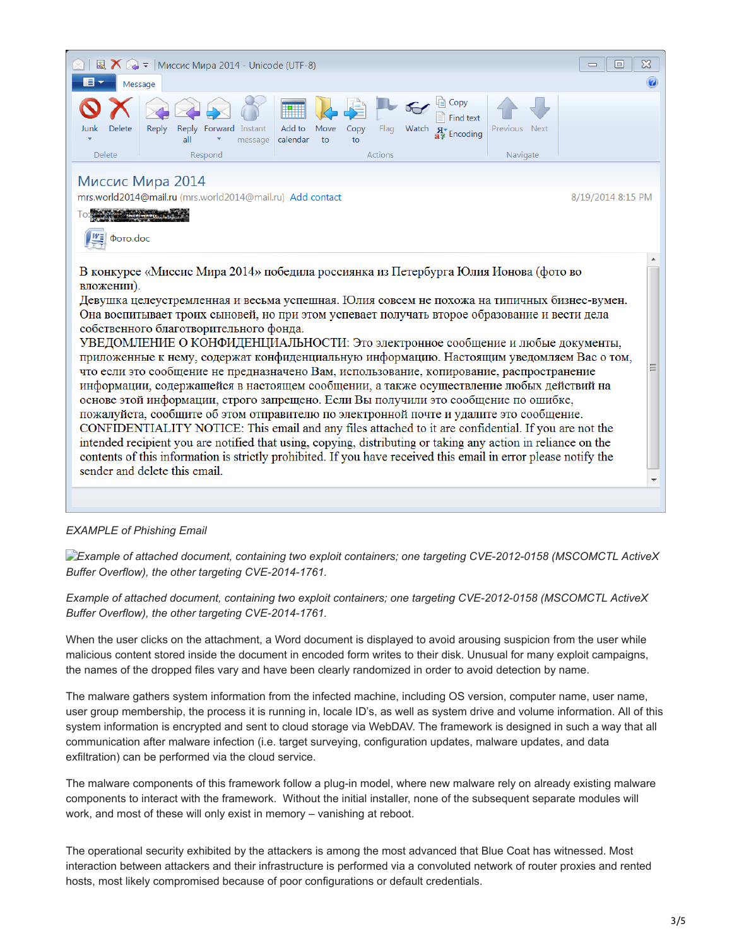

#### *EXAMPLE of Phishing Email*

*Example of attached document, containing two exploit containers; one targeting CVE-2012-0158 (MSCOMCTL ActiveX Buffer Overflow), the other targeting CVE-2014-1761.*

*Example of attached document, containing two exploit containers; one targeting CVE-2012-0158 (MSCOMCTL ActiveX Buffer Overflow), the other targeting CVE-2014-1761.*

When the user clicks on the attachment, a Word document is displayed to avoid arousing suspicion from the user while malicious content stored inside the document in encoded form writes to their disk. Unusual for many exploit campaigns, the names of the dropped files vary and have been clearly randomized in order to avoid detection by name.

The malware gathers system information from the infected machine, including OS version, computer name, user name, user group membership, the process it is running in, locale ID's, as well as system drive and volume information. All of this system information is encrypted and sent to cloud storage via WebDAV. The framework is designed in such a way that all communication after malware infection (i.e. target surveying, configuration updates, malware updates, and data exfiltration) can be performed via the cloud service.

The malware components of this framework follow a plug-in model, where new malware rely on already existing malware components to interact with the framework. Without the initial installer, none of the subsequent separate modules will work, and most of these will only exist in memory – vanishing at reboot.

The operational security exhibited by the attackers is among the most advanced that Blue Coat has witnessed. Most interaction between attackers and their infrastructure is performed via a convoluted network of router proxies and rented hosts, most likely compromised because of poor configurations or default credentials.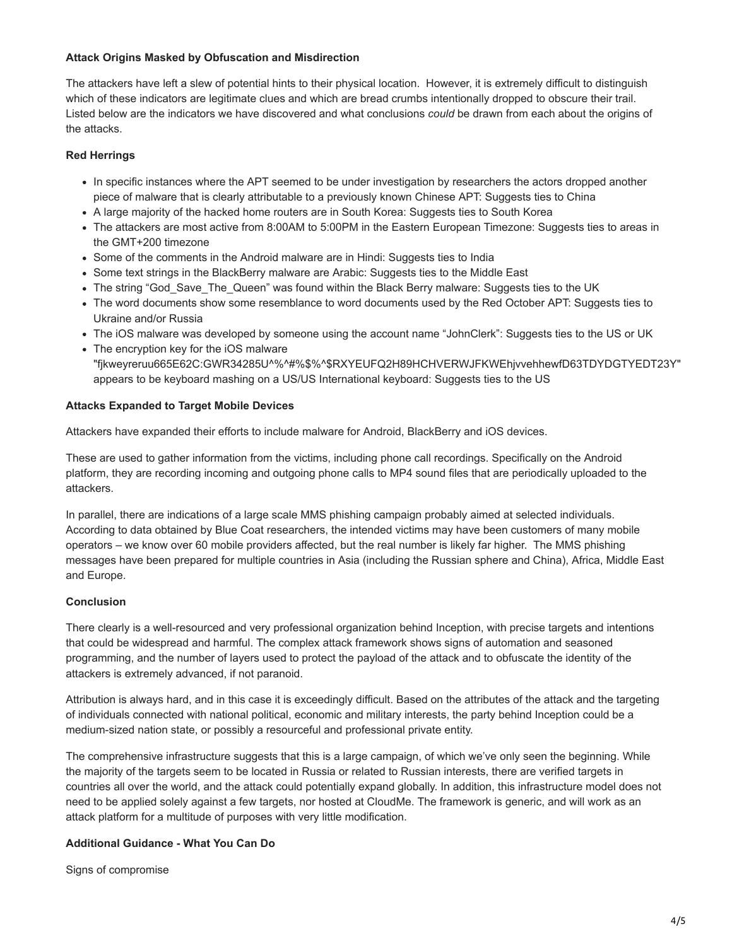#### **Attack Origins Masked by Obfuscation and Misdirection**

The attackers have left a slew of potential hints to their physical location. However, it is extremely difficult to distinguish which of these indicators are legitimate clues and which are bread crumbs intentionally dropped to obscure their trail. Listed below are the indicators we have discovered and what conclusions *could* be drawn from each about the origins of the attacks.

# **Red Herrings**

- In specific instances where the APT seemed to be under investigation by researchers the actors dropped another piece of malware that is clearly attributable to a previously known Chinese APT: Suggests ties to China
- A large majority of the hacked home routers are in South Korea: Suggests ties to South Korea
- The attackers are most active from 8:00AM to 5:00PM in the Eastern European Timezone: Suggests ties to areas in the GMT+200 timezone
- Some of the comments in the Android malware are in Hindi: Suggests ties to India
- Some text strings in the BlackBerry malware are Arabic: Suggests ties to the Middle East
- The string "God\_Save\_The\_Queen" was found within the Black Berry malware: Suggests ties to the UK
- The word documents show some resemblance to word documents used by the Red October APT: Suggests ties to Ukraine and/or Russia
- The iOS malware was developed by someone using the account name "JohnClerk": Suggests ties to the US or UK
- The encryption key for the iOS malware "fjkweyreruu665E62C:GWR34285U^%^#%\$%^\$RXYEUFQ2H89HCHVERWJFKWEhjvvehhewfD63TDYDGTYEDT23Y" appears to be keyboard mashing on a US/US International keyboard: Suggests ties to the US

### **Attacks Expanded to Target Mobile Devices**

Attackers have expanded their efforts to include malware for Android, BlackBerry and iOS devices.

These are used to gather information from the victims, including phone call recordings. Specifically on the Android platform, they are recording incoming and outgoing phone calls to MP4 sound files that are periodically uploaded to the attackers.

In parallel, there are indications of a large scale MMS phishing campaign probably aimed at selected individuals. According to data obtained by Blue Coat researchers, the intended victims may have been customers of many mobile operators – we know over 60 mobile providers affected, but the real number is likely far higher. The MMS phishing messages have been prepared for multiple countries in Asia (including the Russian sphere and China), Africa, Middle East and Europe.

# **Conclusion**

There clearly is a well-resourced and very professional organization behind Inception, with precise targets and intentions that could be widespread and harmful. The complex attack framework shows signs of automation and seasoned programming, and the number of layers used to protect the payload of the attack and to obfuscate the identity of the attackers is extremely advanced, if not paranoid.

Attribution is always hard, and in this case it is exceedingly difficult. Based on the attributes of the attack and the targeting of individuals connected with national political, economic and military interests, the party behind Inception could be a medium-sized nation state, or possibly a resourceful and professional private entity.

The comprehensive infrastructure suggests that this is a large campaign, of which we've only seen the beginning. While the majority of the targets seem to be located in Russia or related to Russian interests, there are verified targets in countries all over the world, and the attack could potentially expand globally. In addition, this infrastructure model does not need to be applied solely against a few targets, nor hosted at CloudMe. The framework is generic, and will work as an attack platform for a multitude of purposes with very little modification.

# **Additional Guidance - What You Can Do**

Signs of compromise